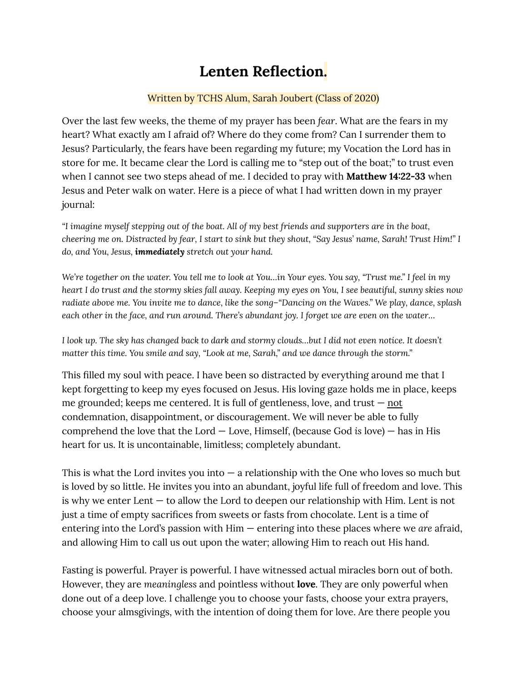## **Lenten Reflection.**

## Written by TCHS Alum, Sarah Joubert (Class of 2020)

Over the last few weeks, the theme of my prayer has been *fear*. What are the fears in my heart? What exactly am I afraid of? Where do they come from? Can I surrender them to Jesus? Particularly, the fears have been regarding my future; my Vocation the Lord has in store for me. It became clear the Lord is calling me to "step out of the boat;" to trust even when I cannot see two steps ahead of me. I decided to pray with **Matthew 14:22-33** when Jesus and Peter walk on water. Here is a piece of what I had written down in my prayer journal:

"I imagine myself stepping out of the boat. All of my best friends and supporters are in the boat, cheering me on. Distracted by fear, I start to sink but they shout, "Say Jesus' name, Sarah! Trust Him!" I *do, and You, Jesus, immediately stretch out your hand.*

We're together on the water. You tell me to look at You...in Your eyes. You say, "Trust me." I feel in my heart I do trust and the stormy skies fall away. Keeping my eyes on You, I see beautiful, sunny skies now radiate above me. You invite me to dance, like the song-"Dancing on the Waves." We play, dance, splash each other in the face, and run around. There's abundant joy. I forget we are even on the water...

I look up. The sky has changed back to dark and stormy clouds...but I did not even notice. It doesn't *matter this time. You smile and say, "Look at me, Sarah," and we dance through the storm."*

This filled my soul with peace. I have been so distracted by everything around me that I kept forgetting to keep my eyes focused on Jesus. His loving gaze holds me in place, keeps me grounded; keeps me centered. It is full of gentleness, love, and trust  $-$  not condemnation, disappointment, or discouragement. We will never be able to fully comprehend the love that the Lord — Love, Himself, (because God *is* love) — has in His heart for us. It is uncontainable, limitless; completely abundant.

This is what the Lord invites you into  $-$  a relationship with the One who loves so much but is loved by so little. He invites you into an abundant, joyful life full of freedom and love. This is why we enter Lent — to allow the Lord to deepen our relationship with Him. Lent is not just a time of empty sacrifices from sweets or fasts from chocolate. Lent is a time of entering into the Lord's passion with Him — entering into these places where we *are* afraid, and allowing Him to call us out upon the water; allowing Him to reach out His hand.

Fasting is powerful. Prayer is powerful. I have witnessed actual miracles born out of both. However, they are *meaningless* and pointless without **love**. They are only powerful when done out of a deep love. I challenge you to choose your fasts, choose your extra prayers, choose your almsgivings, with the intention of doing them for love. Are there people you